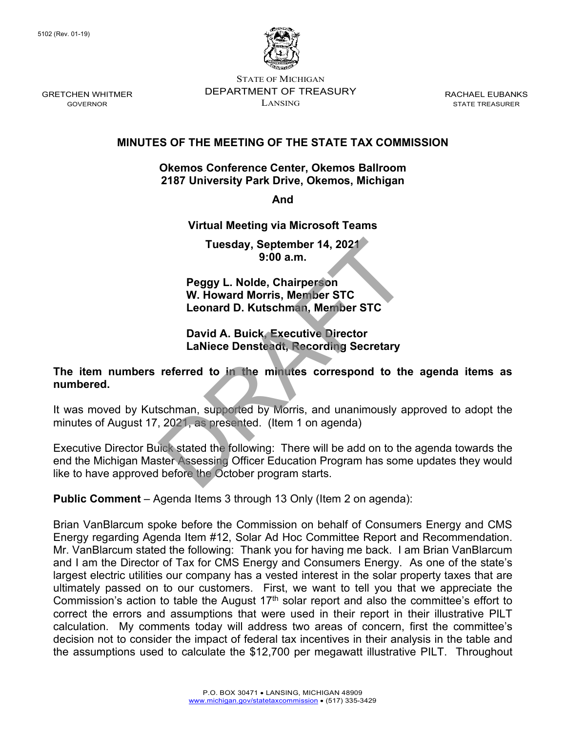

STATE OF MICHIGAN DEPARTMENT OF TREASURY LANSING

RACHAEL EUBANKS STATE TREASURER

## **MINUTES OF THE MEETING OF THE STATE TAX COMMISSION**

#### **Okemos Conference Center, Okemos Ballroom 2187 University Park Drive, Okemos, Michigan**

**And** 

#### **Virtual Meeting via Microsoft Teams**

**Tuesday, September 14, 2021 9:00 a.m.**

**Peggy L. Nolde, Chairperson W. Howard Morris, Member STC Leonard D. Kutschman, Member STC**

### **David A. Buick, Executive Director LaNiece Densteadt, Recording Secretary**

### **The item numbers referred to in the minutes correspond to the agenda items as numbered.**

It was moved by Kutschman, supported by Morris, and unanimously approved to adopt the minutes of August 17, 2021, as presented. (Item 1 on agenda)

Executive Director Buick stated the following: There will be add on to the agenda towards the end the Michigan Master Assessing Officer Education Program has some updates they would like to have approved before the October program starts. Tuesday, September 14, 2021<br>9:00 a.m.<br>9:00 a.m.<br>W. Howard Morris, Member STC<br>Leonard D. Kutschman, Member STC<br>David A. Buick, Executive Director<br>LaNiece Densteadt, Recording Secretary<br>referred to in the minutes correspond

**Public Comment** – Agenda Items 3 through 13 Only (Item 2 on agenda):

Brian VanBlarcum spoke before the Commission on behalf of Consumers Energy and CMS Energy regarding Agenda Item #12, Solar Ad Hoc Committee Report and Recommendation. Mr. VanBlarcum stated the following: Thank you for having me back. I am Brian VanBlarcum and I am the Director of Tax for CMS Energy and Consumers Energy. As one of the state's largest electric utilities our company has a vested interest in the solar property taxes that are ultimately passed on to our customers. First, we want to tell you that we appreciate the Commission's action to table the August  $17<sup>th</sup>$  solar report and also the committee's effort to correct the errors and assumptions that were used in their report in their illustrative PILT calculation. My comments today will address two areas of concern, first the committee's decision not to consider the impact of federal tax incentives in their analysis in the table and the assumptions used to calculate the \$12,700 per megawatt illustrative PILT. Throughout

GRETCHEN WHITMER GOVERNOR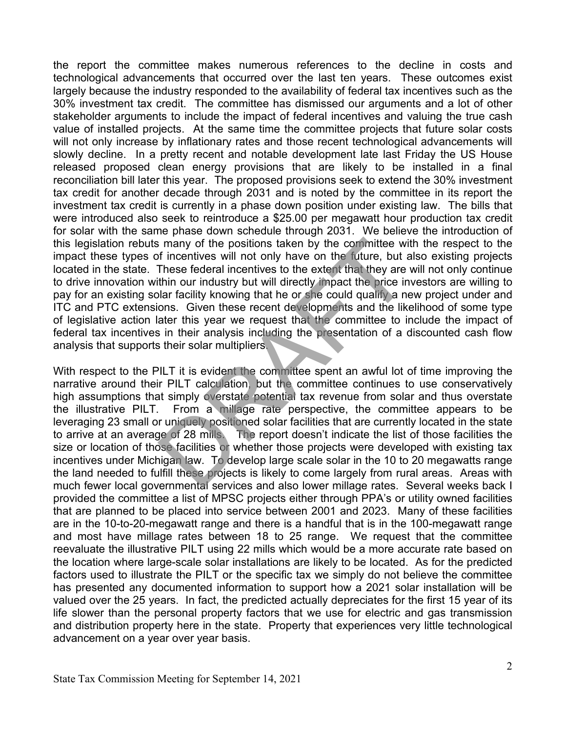the report the committee makes numerous references to the decline in costs and technological advancements that occurred over the last ten years. These outcomes exist largely because the industry responded to the availability of federal tax incentives such as the 30% investment tax credit. The committee has dismissed our arguments and a lot of other stakeholder arguments to include the impact of federal incentives and valuing the true cash value of installed projects. At the same time the committee projects that future solar costs will not only increase by inflationary rates and those recent technological advancements will slowly decline. In a pretty recent and notable development late last Friday the US House released proposed clean energy provisions that are likely to be installed in a final reconciliation bill later this year. The proposed provisions seek to extend the 30% investment tax credit for another decade through 2031 and is noted by the committee in its report the investment tax credit is currently in a phase down position under existing law. The bills that were introduced also seek to reintroduce a \$25.00 per megawatt hour production tax credit for solar with the same phase down schedule through 2031. We believe the introduction of this legislation rebuts many of the positions taken by the committee with the respect to the impact these types of incentives will not only have on the future, but also existing projects located in the state. These federal incentives to the extent that they are will not only continue to drive innovation within our industry but will directly impact the price investors are willing to pay for an existing solar facility knowing that he or she could qualify a new project under and ITC and PTC extensions. Given these recent developments and the likelihood of some type of legislative action later this year we request that the committee to include the impact of federal tax incentives in their analysis including the presentation of a discounted cash flow analysis that supports their solar multipliers.

With respect to the PILT it is evident the committee spent an awful lot of time improving the narrative around their PILT calculation, but the committee continues to use conservatively high assumptions that simply overstate potential tax revenue from solar and thus overstate the illustrative PILT. From a millage rate perspective, the committee appears to be leveraging 23 small or uniquely positioned solar facilities that are currently located in the state to arrive at an average of 28 mills. The report doesn't indicate the list of those facilities the size or location of those facilities or whether those projects were developed with existing tax incentives under Michigan law. To develop large scale solar in the 10 to 20 megawatts range the land needed to fulfill these projects is likely to come largely from rural areas. Areas with much fewer local governmental services and also lower millage rates. Several weeks back I provided the committee a list of MPSC projects either through PPA's or utility owned facilities that are planned to be placed into service between 2001 and 2023. Many of these facilities are in the 10-to-20-megawatt range and there is a handful that is in the 100-megawatt range and most have millage rates between 18 to 25 range. We request that the committee reevaluate the illustrative PILT using 22 mills which would be a more accurate rate based on the location where large-scale solar installations are likely to be located. As for the predicted factors used to illustrate the PILT or the specific tax we simply do not believe the committee has presented any documented information to support how a 2021 solar installation will be valued over the 25 years. In fact, the predicted actually depreciates for the first 15 year of its life slower than the personal property factors that we use for electric and gas transmission and distribution property here in the state. Property that experiences very little technological advancement on a year over year basis. Is many of the positions taken by the committee wife incentives will not only have on the future, but at These federal incentives to the extent that they are thin our industry but will directly impact the price in that fin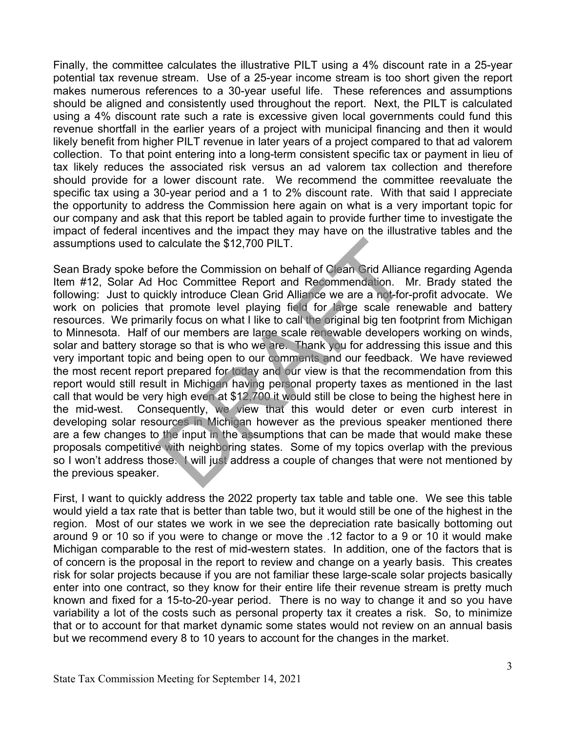Finally, the committee calculates the illustrative PILT using a 4% discount rate in a 25-year potential tax revenue stream. Use of a 25-year income stream is too short given the report makes numerous references to a 30-year useful life. These references and assumptions should be aligned and consistently used throughout the report. Next, the PILT is calculated using a 4% discount rate such a rate is excessive given local governments could fund this revenue shortfall in the earlier years of a project with municipal financing and then it would likely benefit from higher PILT revenue in later years of a project compared to that ad valorem collection. To that point entering into a long-term consistent specific tax or payment in lieu of tax likely reduces the associated risk versus an ad valorem tax collection and therefore should provide for a lower discount rate. We recommend the committee reevaluate the specific tax using a 30-year period and a 1 to 2% discount rate. With that said I appreciate the opportunity to address the Commission here again on what is a very important topic for our company and ask that this report be tabled again to provide further time to investigate the impact of federal incentives and the impact they may have on the illustrative tables and the assumptions used to calculate the \$12,700 PILT.

Sean Brady spoke before the Commission on behalf of Clean Grid Alliance regarding Agenda Item #12, Solar Ad Hoc Committee Report and Recommendation. Mr. Brady stated the following: Just to quickly introduce Clean Grid Alliance we are a not-for-profit advocate. We work on policies that promote level playing field for large scale renewable and battery resources. We primarily focus on what I like to call the original big ten footprint from Michigan to Minnesota. Half of our members are large scale renewable developers working on winds, solar and battery storage so that is who we are. Thank you for addressing this issue and this very important topic and being open to our comments and our feedback. We have reviewed the most recent report prepared for today and our view is that the recommendation from this report would still result in Michigan having personal property taxes as mentioned in the last call that would be very high even at \$12,700 it would still be close to being the highest here in the mid-west. Consequently, we view that this would deter or even curb interest in developing solar resources in Michigan however as the previous speaker mentioned there are a few changes to the input in the assumptions that can be made that would make these proposals competitive with neighboring states. Some of my topics overlap with the previous so I won't address those. I will just address a couple of changes that were not mentioned by the previous speaker. calculate the \$12,700 PILT.<br>
fore the Commission on behalf of Clean Grid Allian<br>
Hoc Committee Report and Recommendation. Next<br>
lickly introduce Clean Grid Alliance we are a not-for<br>
at promote level playing field for larg

First, I want to quickly address the 2022 property tax table and table one. We see this table would yield a tax rate that is better than table two, but it would still be one of the highest in the region. Most of our states we work in we see the depreciation rate basically bottoming out around 9 or 10 so if you were to change or move the .12 factor to a 9 or 10 it would make Michigan comparable to the rest of mid-western states. In addition, one of the factors that is of concern is the proposal in the report to review and change on a yearly basis. This creates risk for solar projects because if you are not familiar these large-scale solar projects basically enter into one contract, so they know for their entire life their revenue stream is pretty much known and fixed for a 15-to-20-year period. There is no way to change it and so you have variability a lot of the costs such as personal property tax it creates a risk. So, to minimize that or to account for that market dynamic some states would not review on an annual basis but we recommend every 8 to 10 years to account for the changes in the market.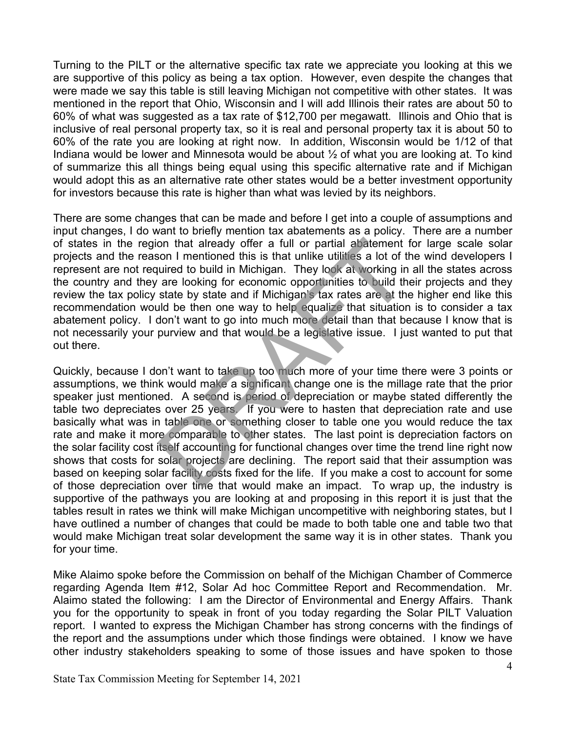Turning to the PILT or the alternative specific tax rate we appreciate you looking at this we are supportive of this policy as being a tax option. However, even despite the changes that were made we say this table is still leaving Michigan not competitive with other states. It was mentioned in the report that Ohio, Wisconsin and I will add Illinois their rates are about 50 to 60% of what was suggested as a tax rate of \$12,700 per megawatt. Illinois and Ohio that is inclusive of real personal property tax, so it is real and personal property tax it is about 50 to 60% of the rate you are looking at right now. In addition, Wisconsin would be 1/12 of that Indiana would be lower and Minnesota would be about ½ of what you are looking at. To kind of summarize this all things being equal using this specific alternative rate and if Michigan would adopt this as an alternative rate other states would be a better investment opportunity for investors because this rate is higher than what was levied by its neighbors.

There are some changes that can be made and before I get into a couple of assumptions and input changes, I do want to briefly mention tax abatements as a policy. There are a number of states in the region that already offer a full or partial abatement for large scale solar projects and the reason I mentioned this is that unlike utilities a lot of the wind developers I represent are not required to build in Michigan. They look at working in all the states across the country and they are looking for economic opportunities to build their projects and they review the tax policy state by state and if Michigan's tax rates are at the higher end like this recommendation would be then one way to help equalize that situation is to consider a tax abatement policy. I don't want to go into much more detail than that because I know that is not necessarily your purview and that would be a legislative issue. I just wanted to put that out there.

Quickly, because I don't want to take up too much more of your time there were 3 points or assumptions, we think would make a significant change one is the millage rate that the prior speaker just mentioned. A second is period of depreciation or maybe stated differently the table two depreciates over 25 years. If you were to hasten that depreciation rate and use basically what was in table one or something closer to table one you would reduce the tax rate and make it more comparable to other states. The last point is depreciation factors on the solar facility cost itself accounting for functional changes over time the trend line right now shows that costs for solar projects are declining. The report said that their assumption was based on keeping solar facility costs fixed for the life. If you make a cost to account for some of those depreciation over time that would make an impact. To wrap up, the industry is supportive of the pathways you are looking at and proposing in this report it is just that the tables result in rates we think will make Michigan uncompetitive with neighboring states, but I have outlined a number of changes that could be made to both table one and table two that would make Michigan treat solar development the same way it is in other states. Thank you for your time. on that already offer a full or partial abatement is<br>son I mentioned this is that unlike utilities a lot of the<br>uired to build in Michigan. They lock at working in<br>are looking for economic opportunities to build the<br>state

Mike Alaimo spoke before the Commission on behalf of the Michigan Chamber of Commerce regarding Agenda Item #12, Solar Ad hoc Committee Report and Recommendation. Mr. Alaimo stated the following: I am the Director of Environmental and Energy Affairs. Thank you for the opportunity to speak in front of you today regarding the Solar PILT Valuation report. I wanted to express the Michigan Chamber has strong concerns with the findings of the report and the assumptions under which those findings were obtained. I know we have other industry stakeholders speaking to some of those issues and have spoken to those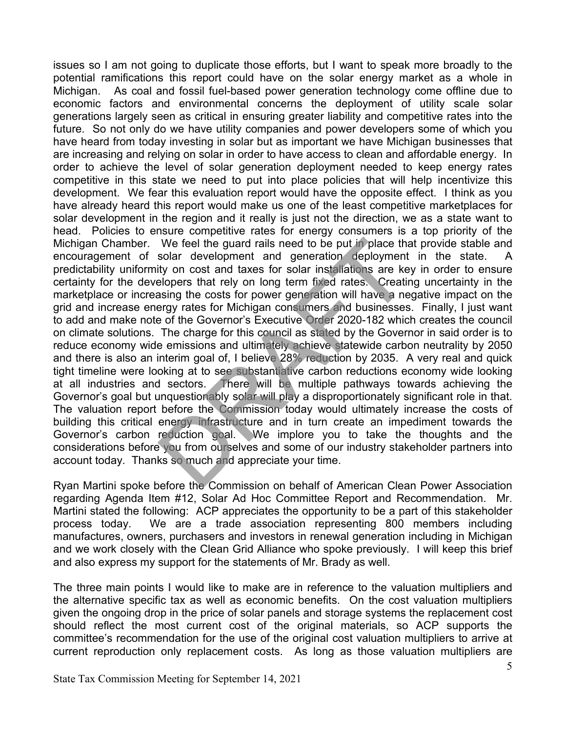issues so I am not going to duplicate those efforts, but I want to speak more broadly to the potential ramifications this report could have on the solar energy market as a whole in Michigan. As coal and fossil fuel-based power generation technology come offline due to economic factors and environmental concerns the deployment of utility scale solar generations largely seen as critical in ensuring greater liability and competitive rates into the future. So not only do we have utility companies and power developers some of which you have heard from today investing in solar but as important we have Michigan businesses that are increasing and relying on solar in order to have access to clean and affordable energy. In order to achieve the level of solar generation deployment needed to keep energy rates competitive in this state we need to put into place policies that will help incentivize this development. We fear this evaluation report would have the opposite effect. I think as you have already heard this report would make us one of the least competitive marketplaces for solar development in the region and it really is just not the direction, we as a state want to head. Policies to ensure competitive rates for energy consumers is a top priority of the Michigan Chamber. We feel the guard rails need to be put in place that provide stable and encouragement of solar development and generation deployment in the state. A predictability uniformity on cost and taxes for solar installations are key in order to ensure certainty for the developers that rely on long term fixed rates. Creating uncertainty in the marketplace or increasing the costs for power generation will have a negative impact on the grid and increase energy rates for Michigan consumers and businesses. Finally, I just want to add and make note of the Governor's Executive Order 2020-182 which creates the council on climate solutions. The charge for this council as stated by the Governor in said order is to reduce economy wide emissions and ultimately achieve statewide carbon neutrality by 2050 and there is also an interim goal of, I believe 28% reduction by 2035. A very real and quick tight timeline were looking at to see substantiative carbon reductions economy wide looking at all industries and sectors. There will be multiple pathways towards achieving the Governor's goal but unquestionably solar will play a disproportionately significant role in that. The valuation report before the Commission today would ultimately increase the costs of building this critical energy infrastructure and in turn create an impediment towards the Governor's carbon reduction goal. We implore you to take the thoughts and the considerations before you from ourselves and some of our industry stakeholder partners into account today. Thanks so much and appreciate your time. We feel the guard rails need to be put in place that<br>solar development and generation deployment<br>tiy on cost and taxes for solar installations are ke<br>elopers that rely on long term fixed rates. Creatius<br>asing the costs for

Ryan Martini spoke before the Commission on behalf of American Clean Power Association regarding Agenda Item #12, Solar Ad Hoc Committee Report and Recommendation. Mr. Martini stated the following: ACP appreciates the opportunity to be a part of this stakeholder process today. We are a trade association representing 800 members including manufactures, owners, purchasers and investors in renewal generation including in Michigan and we work closely with the Clean Grid Alliance who spoke previously. I will keep this brief and also express my support for the statements of Mr. Brady as well.

The three main points I would like to make are in reference to the valuation multipliers and the alternative specific tax as well as economic benefits. On the cost valuation multipliers given the ongoing drop in the price of solar panels and storage systems the replacement cost should reflect the most current cost of the original materials, so ACP supports the committee's recommendation for the use of the original cost valuation multipliers to arrive at current reproduction only replacement costs. As long as those valuation multipliers are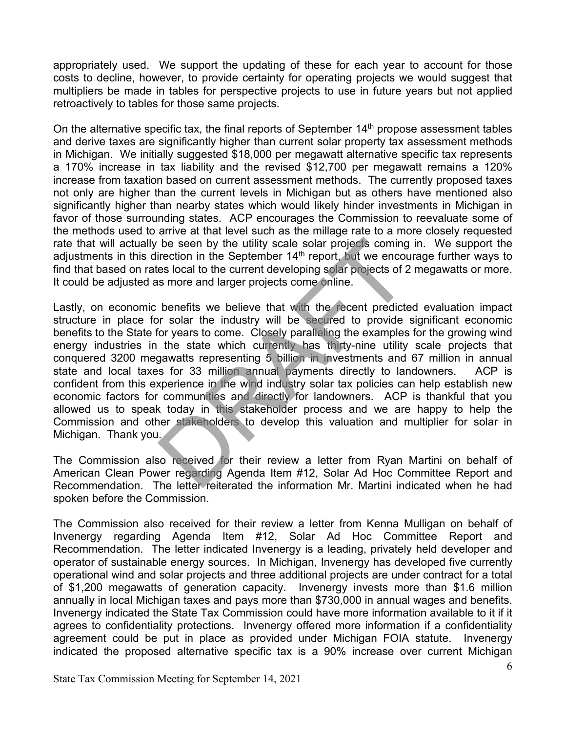appropriately used. We support the updating of these for each year to account for those costs to decline, however, to provide certainty for operating projects we would suggest that multipliers be made in tables for perspective projects to use in future years but not applied retroactively to tables for those same projects.

On the alternative specific tax, the final reports of September  $14<sup>th</sup>$  propose assessment tables and derive taxes are significantly higher than current solar property tax assessment methods in Michigan. We initially suggested \$18,000 per megawatt alternative specific tax represents a 170% increase in tax liability and the revised \$12,700 per megawatt remains a 120% increase from taxation based on current assessment methods. The currently proposed taxes not only are higher than the current levels in Michigan but as others have mentioned also significantly higher than nearby states which would likely hinder investments in Michigan in favor of those surrounding states. ACP encourages the Commission to reevaluate some of the methods used to arrive at that level such as the millage rate to a more closely requested rate that will actually be seen by the utility scale solar projects coming in. We support the adjustments in this direction in the September  $14<sup>th</sup>$  report, but we encourage further ways to find that based on rates local to the current developing solar projects of 2 megawatts or more. It could be adjusted as more and larger projects come online.

Lastly, on economic benefits we believe that with the recent predicted evaluation impact structure in place for solar the industry will be secured to provide significant economic benefits to the State for years to come. Closely paralleling the examples for the growing wind energy industries in the state which currently has thirty-nine utility scale projects that conquered 3200 megawatts representing 5 billion in investments and 67 million in annual state and local taxes for 33 million annual payments directly to landowners. ACP is confident from this experience in the wind industry solar tax policies can help establish new economic factors for communities and directly for landowners. ACP is thankful that you allowed us to speak today in this stakeholder process and we are happy to help the Commission and other stakeholders to develop this valuation and multiplier for solar in Michigan. Thank you. be seen by the utility scale solar projects coming<br>irection in the September  $14^{\text{th}}$  report, but we encouses local to the current developing solar projects of 2<br>is more and larger projects come online.<br>benefits we beli

The Commission also received for their review a letter from Ryan Martini on behalf of American Clean Power regarding Agenda Item #12, Solar Ad Hoc Committee Report and Recommendation. The letter reiterated the information Mr. Martini indicated when he had spoken before the Commission.

The Commission also received for their review a letter from Kenna Mulligan on behalf of Invenergy regarding Agenda Item #12, Solar Ad Hoc Committee Report and Recommendation. The letter indicated Invenergy is a leading, privately held developer and operator of sustainable energy sources. In Michigan, Invenergy has developed five currently operational wind and solar projects and three additional projects are under contract for a total of \$1,200 megawatts of generation capacity. Invenergy invests more than \$1.6 million annually in local Michigan taxes and pays more than \$730,000 in annual wages and benefits. Invenergy indicated the State Tax Commission could have more information available to it if it agrees to confidentiality protections. Invenergy offered more information if a confidentiality agreement could be put in place as provided under Michigan FOIA statute. Invenergy indicated the proposed alternative specific tax is a 90% increase over current Michigan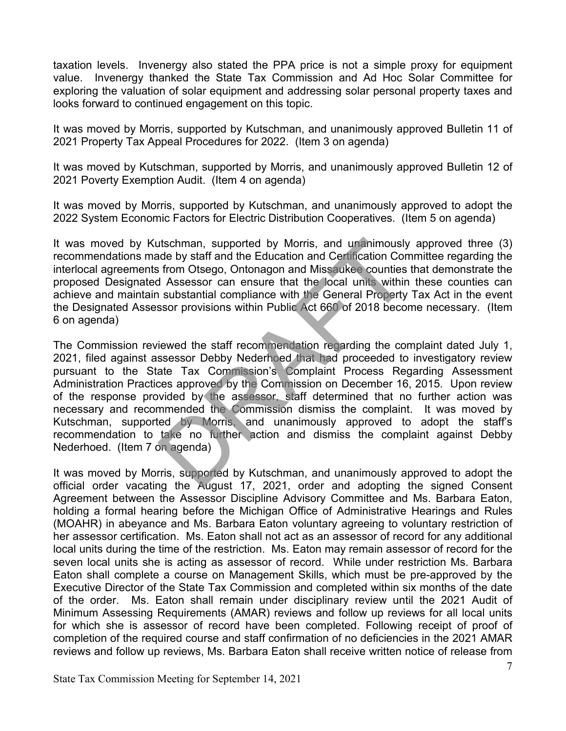taxation levels. Invenergy also stated the PPA price is not a simple proxy for equipment value. Invenergy thanked the State Tax Commission and Ad Hoc Solar Committee for exploring the valuation of solar equipment and addressing solar personal property taxes and looks forward to continued engagement on this topic.

It was moved by Morris, supported by Kutschman, and unanimously approved Bulletin 11 of 2021 Property Tax Appeal Procedures for 2022. (Item 3 on agenda)

It was moved by Kutschman, supported by Morris, and unanimously approved Bulletin 12 of 2021 Poverty Exemption Audit. (Item 4 on agenda)

It was moved by Morris, supported by Kutschman, and unanimously approved to adopt the 2022 System Economic Factors for Electric Distribution Cooperatives. (Item 5 on agenda)

It was moved by Kutschman, supported by Morris, and unanimously approved three (3) recommendations made by staff and the Education and Certification Committee regarding the interlocal agreements from Otsego, Ontonagon and Missaukee counties that demonstrate the proposed Designated Assessor can ensure that the local units within these counties can achieve and maintain substantial compliance with the General Property Tax Act in the event the Designated Assessor provisions within Public Act 660 of 2018 become necessary. (Item 6 on agenda)

The Commission reviewed the staff recommendation regarding the complaint dated July 1, 2021, filed against assessor Debby Nederhoed that had proceeded to investigatory review pursuant to the State Tax Commission's Complaint Process Regarding Assessment Administration Practices approved by the Commission on December 16, 2015. Upon review of the response provided by the assessor, staff determined that no further action was necessary and recommended the Commission dismiss the complaint. It was moved by Kutschman, supported by Morris, and unanimously approved to adopt the staff's recommendation to take no further action and dismiss the complaint against Debby Nederhoed. (Item 7 on agenda) Itschman, supported by Morris, and unanimously<br>ade by staff and the Education and Certification Con<br>s from Otsego, Ontonagon and Missaukee counties<br>is a Assessor can ensure that the local units within<br>in substantial compli

It was moved by Morris, supported by Kutschman, and unanimously approved to adopt the official order vacating the August 17, 2021, order and adopting the signed Consent Agreement between the Assessor Discipline Advisory Committee and Ms. Barbara Eaton, holding a formal hearing before the Michigan Office of Administrative Hearings and Rules (MOAHR) in abeyance and Ms. Barbara Eaton voluntary agreeing to voluntary restriction of her assessor certification. Ms. Eaton shall not act as an assessor of record for any additional local units during the time of the restriction. Ms. Eaton may remain assessor of record for the seven local units she is acting as assessor of record. While under restriction Ms. Barbara Eaton shall complete a course on Management Skills, which must be pre-approved by the Executive Director of the State Tax Commission and completed within six months of the date of the order. Ms. Eaton shall remain under disciplinary review until the 2021 Audit of Minimum Assessing Requirements (AMAR) reviews and follow up reviews for all local units for which she is assessor of record have been completed. Following receipt of proof of completion of the required course and staff confirmation of no deficiencies in the 2021 AMAR reviews and follow up reviews, Ms. Barbara Eaton shall receive written notice of release from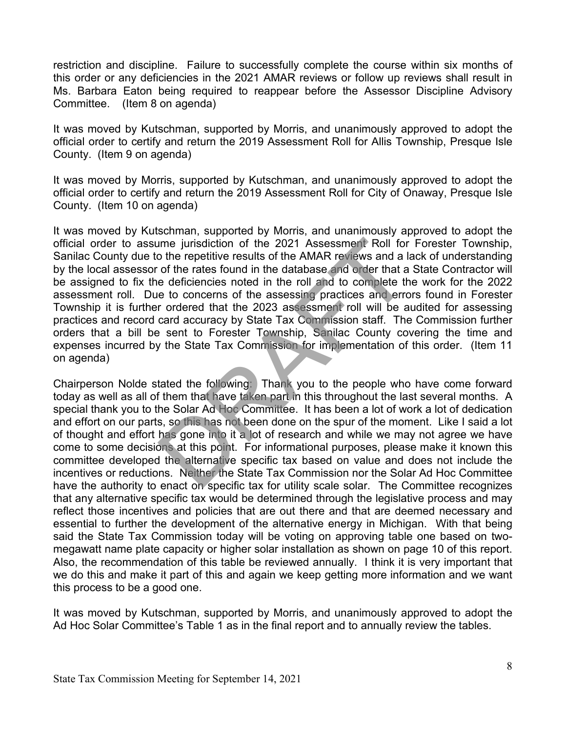restriction and discipline. Failure to successfully complete the course within six months of this order or any deficiencies in the 2021 AMAR reviews or follow up reviews shall result in Ms. Barbara Eaton being required to reappear before the Assessor Discipline Advisory Committee. (Item 8 on agenda)

It was moved by Kutschman, supported by Morris, and unanimously approved to adopt the official order to certify and return the 2019 Assessment Roll for Allis Township, Presque Isle County. (Item 9 on agenda)

It was moved by Morris, supported by Kutschman, and unanimously approved to adopt the official order to certify and return the 2019 Assessment Roll for City of Onaway, Presque Isle County. (Item 10 on agenda)

It was moved by Kutschman, supported by Morris, and unanimously approved to adopt the official order to assume jurisdiction of the 2021 Assessment Roll for Forester Township, Sanilac County due to the repetitive results of the AMAR reviews and a lack of understanding by the local assessor of the rates found in the database and order that a State Contractor will be assigned to fix the deficiencies noted in the roll and to complete the work for the 2022 assessment roll. Due to concerns of the assessing practices and errors found in Forester Township it is further ordered that the 2023 assessment roll will be audited for assessing practices and record card accuracy by State Tax Commission staff. The Commission further orders that a bill be sent to Forester Township, Sanilac County covering the time and expenses incurred by the State Tax Commission for implementation of this order. (Item 11 on agenda) ime jurisdiction of the 2021 Assessment Roll for<br>o the repetitive results of the AMAR reviews and a l<br>of the rates found in the database and order that a<br>e deficiencies noted in the roll and to complete the<br>e to concerns o

Chairperson Nolde stated the following: Thank you to the people who have come forward today as well as all of them that have taken part in this throughout the last several months. A special thank you to the Solar Ad Hoc Committee. It has been a lot of work a lot of dedication and effort on our parts, so this has not been done on the spur of the moment. Like I said a lot of thought and effort has gone into it a lot of research and while we may not agree we have come to some decisions at this point. For informational purposes, please make it known this committee developed the alternative specific tax based on value and does not include the incentives or reductions. Neither the State Tax Commission nor the Solar Ad Hoc Committee have the authority to enact on specific tax for utility scale solar. The Committee recognizes that any alternative specific tax would be determined through the legislative process and may reflect those incentives and policies that are out there and that are deemed necessary and essential to further the development of the alternative energy in Michigan. With that being said the State Tax Commission today will be voting on approving table one based on twomegawatt name plate capacity or higher solar installation as shown on page 10 of this report. Also, the recommendation of this table be reviewed annually. I think it is very important that we do this and make it part of this and again we keep getting more information and we want this process to be a good one.

It was moved by Kutschman, supported by Morris, and unanimously approved to adopt the Ad Hoc Solar Committee's Table 1 as in the final report and to annually review the tables.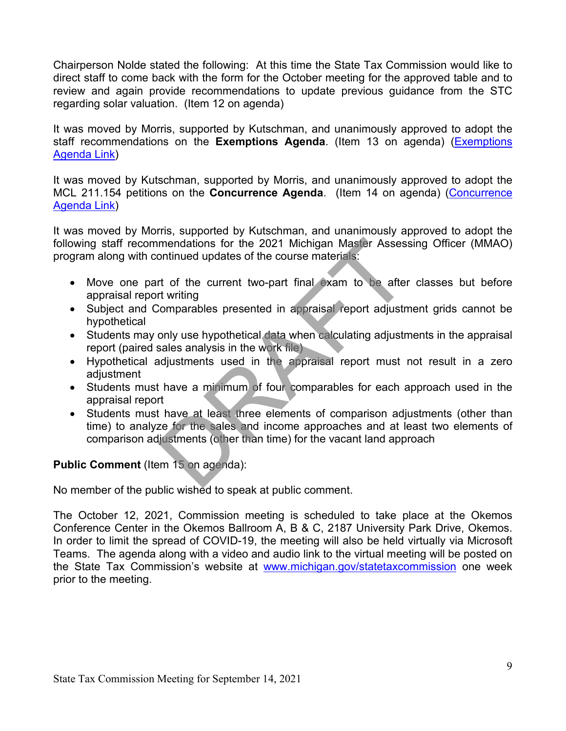Chairperson Nolde stated the following: At this time the State Tax Commission would like to direct staff to come back with the form for the October meeting for the approved table and to review and again provide recommendations to update previous guidance from the STC regarding solar valuation. (Item 12 on agenda)

It was moved by Morris, supported by Kutschman, and unanimously approved to adopt the staff recommendations on the **Exemptions Agenda**. (Item 13 on agenda) [\(Exemptions](https://www.michigan.gov/documents/treasury/13_Exemptions_Agenda_734740_7.pdf)  [Agenda Link\)](https://www.michigan.gov/documents/treasury/13_Exemptions_Agenda_734740_7.pdf)

It was moved by Kutschman, supported by Morris, and unanimously approved to adopt the MCL 211.154 petitions on the **Concurrence Agenda**. (Item 14 on agenda) [\(Concurrence](https://www.michigan.gov/documents/treasury/14_Agenda_-_Concurrence_-_For_Website_734741_7.pdf)  [Agenda Link\)](https://www.michigan.gov/documents/treasury/14_Agenda_-_Concurrence_-_For_Website_734741_7.pdf)

It was moved by Morris, supported by Kutschman, and unanimously approved to adopt the following staff recommendations for the 2021 Michigan Master Assessing Officer (MMAO) program along with continued updates of the course materials:

- Move one part of the current two-part final exam to be after classes but before appraisal report writing
- Subject and Comparables presented in appraisal report adjustment grids cannot be hypothetical
- Students may only use hypothetical data when calculating adjustments in the appraisal report (paired sales analysis in the work file)
- Hypothetical adjustments used in the appraisal report must not result in a zero adjustment
- Students must have a minimum of four comparables for each approach used in the appraisal report
- Students must have at least three elements of comparison adjustments (other than time) to analyze for the sales and income approaches and at least two elements of comparison adjustments (other than time) for the vacant land approach mendations for the 2021 Michigan Master Assess<br>
ontinued updates of the course materials:<br>
rt of the current two-part final exam to be after<br>
rt writing<br>
comparables presented in appraisal report adjustm<br>
only use hypothet

# **Public Comment** (Item 15 on agenda):

No member of the public wished to speak at public comment.

The October 12, 2021, Commission meeting is scheduled to take place at the Okemos Conference Center in the Okemos Ballroom A, B & C, 2187 University Park Drive, Okemos. In order to limit the spread of COVID-19, the meeting will also be held virtually via Microsoft Teams. The agenda along with a video and audio link to the virtual meeting will be posted on the State Tax Commission's website at [www.michigan.gov/statetaxcommission](http://www.michigan.gov/statetaxcommission) one week prior to the meeting.